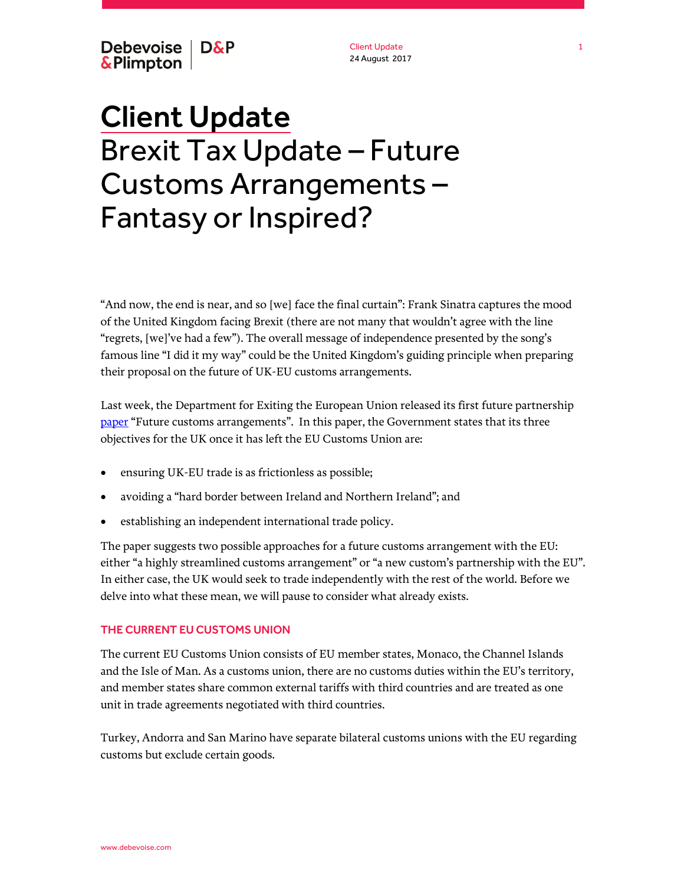Debevoise | D&P & Plimpton

Client Update 24 August 2017

# Client Update Brexit Tax Update – Future Customs Arrangements – Fantasy or Inspired?

"And now, the end is near, and so [we] face the final curtain": Frank Sinatra captures the mood of the United Kingdom facing Brexit (there are not many that wouldn't agree with the line "regrets, [we]'ve had a few"). The overall message of independence presented by the song's famous line "I did it my way" could be the United Kingdom's guiding principle when preparing their proposal on the future of UK-EU customs arrangements.

Last week, the Department for Exiting the European Union released its first future partnership [paper](https://www.gov.uk/government/news/new-customs-proposals-laid-out-by-government-in-new-paper-on-future-relationship-with-the-eu) "Future customs arrangements". In this paper, the Government states that its three objectives for the UK once it has left the EU Customs Union are:

- ensuring UK-EU trade is as frictionless as possible;
- avoiding a "hard border between Ireland and Northern Ireland"; and
- establishing an independent international trade policy.

The paper suggests two possible approaches for a future customs arrangement with the EU: either "a highly streamlined customs arrangement" or "a new custom's partnership with the EU". In either case, the UK would seek to trade independently with the rest of the world. Before we delve into what these mean, we will pause to consider what already exists.

## THE CURRENT EU CUSTOMS UNION

The current EU Customs Union consists of EU member states, Monaco, the Channel Islands and the Isle of Man. As a customs union, there are no customs duties within the EU's territory, and member states share common external tariffs with third countries and are treated as one unit in trade agreements negotiated with third countries.

Turkey, Andorra and San Marino have separate bilateral customs unions with the EU regarding customs but exclude certain goods.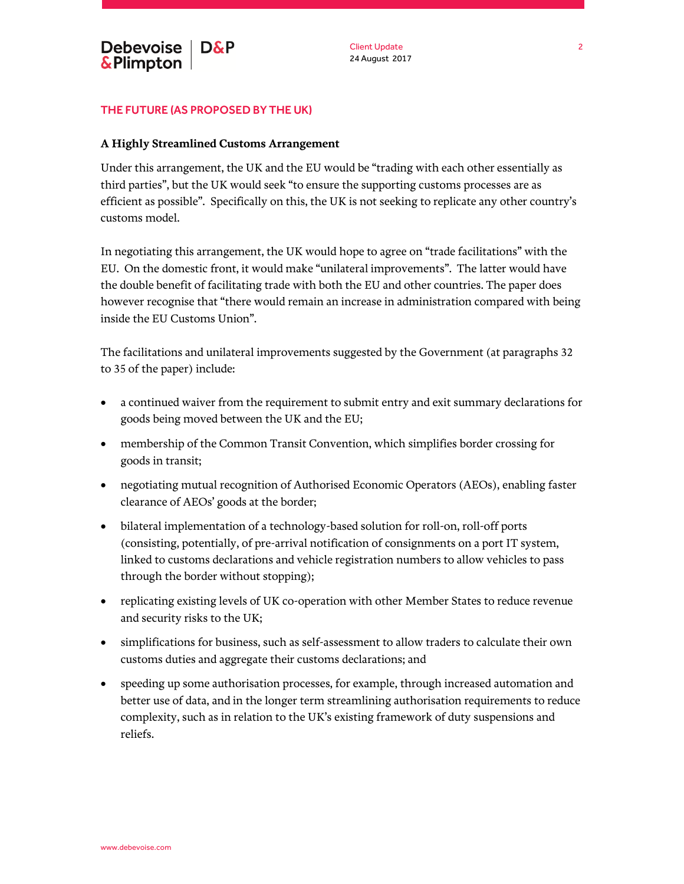## THE FUTURE (AS PROPOSED BY THE UK)

#### **A Highly Streamlined Customs Arrangement**

Under this arrangement, the UK and the EU would be "trading with each other essentially as third parties", but the UK would seek "to ensure the supporting customs processes are as efficient as possible". Specifically on this, the UK is not seeking to replicate any other country's customs model.

In negotiating this arrangement, the UK would hope to agree on "trade facilitations" with the EU. On the domestic front, it would make "unilateral improvements". The latter would have the double benefit of facilitating trade with both the EU and other countries. The paper does however recognise that "there would remain an increase in administration compared with being inside the EU Customs Union".

The facilitations and unilateral improvements suggested by the Government (at paragraphs 32 to 35 of the paper) include:

- a continued waiver from the requirement to submit entry and exit summary declarations for goods being moved between the UK and the EU;
- membership of the Common Transit Convention, which simplifies border crossing for goods in transit;
- negotiating mutual recognition of Authorised Economic Operators (AEOs), enabling faster clearance of AEOs' goods at the border;
- bilateral implementation of a technology-based solution for roll-on, roll-off ports (consisting, potentially, of pre-arrival notification of consignments on a port IT system, linked to customs declarations and vehicle registration numbers to allow vehicles to pass through the border without stopping);
- replicating existing levels of UK co-operation with other Member States to reduce revenue and security risks to the UK;
- simplifications for business, such as self-assessment to allow traders to calculate their own customs duties and aggregate their customs declarations; and
- speeding up some authorisation processes, for example, through increased automation and better use of data, and in the longer term streamlining authorisation requirements to reduce complexity, such as in relation to the UK's existing framework of duty suspensions and reliefs.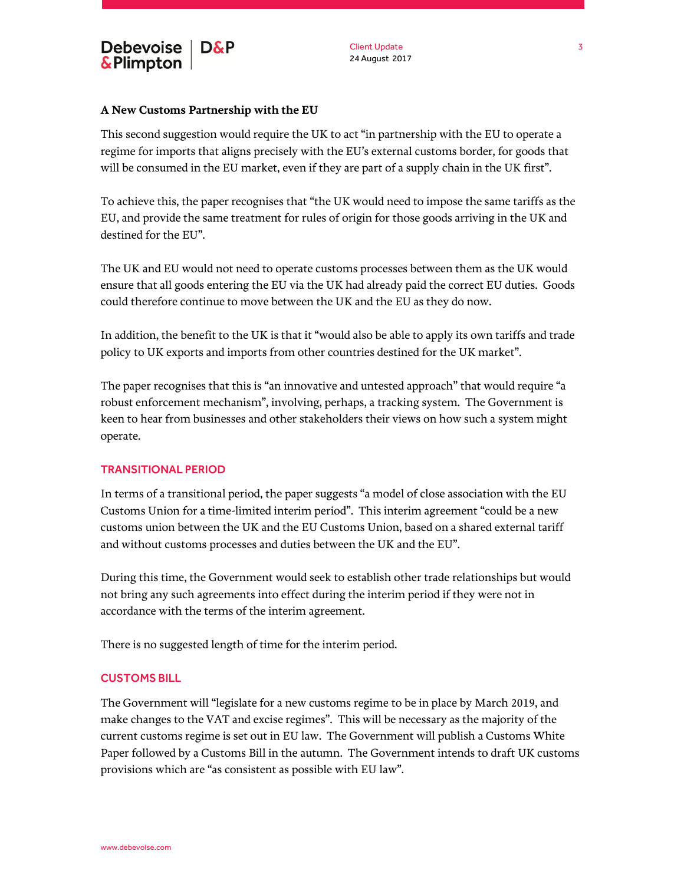

## **A New Customs Partnership with the EU**

This second suggestion would require the UK to act "in partnership with the EU to operate a regime for imports that aligns precisely with the EU's external customs border, for goods that will be consumed in the EU market, even if they are part of a supply chain in the UK first".

To achieve this, the paper recognises that "the UK would need to impose the same tariffs as the EU, and provide the same treatment for rules of origin for those goods arriving in the UK and destined for the EU".

The UK and EU would not need to operate customs processes between them as the UK would ensure that all goods entering the EU via the UK had already paid the correct EU duties. Goods could therefore continue to move between the UK and the EU as they do now.

In addition, the benefit to the UK is that it "would also be able to apply its own tariffs and trade policy to UK exports and imports from other countries destined for the UK market".

The paper recognises that this is "an innovative and untested approach" that would require "a robust enforcement mechanism", involving, perhaps, a tracking system. The Government is keen to hear from businesses and other stakeholders their views on how such a system might operate.

#### TRANSITIONAL PERIOD

In terms of a transitional period, the paper suggests "a model of close association with the EU Customs Union for a time-limited interim period". This interim agreement "could be a new customs union between the UK and the EU Customs Union, based on a shared external tariff and without customs processes and duties between the UK and the EU".

During this time, the Government would seek to establish other trade relationships but would not bring any such agreements into effect during the interim period if they were not in accordance with the terms of the interim agreement.

There is no suggested length of time for the interim period.

#### CUSTOMS BILL

The Government will "legislate for a new customs regime to be in place by March 2019, and make changes to the VAT and excise regimes". This will be necessary as the majority of the current customs regime is set out in EU law. The Government will publish a Customs White Paper followed by a Customs Bill in the autumn. The Government intends to draft UK customs provisions which are "as consistent as possible with EU law".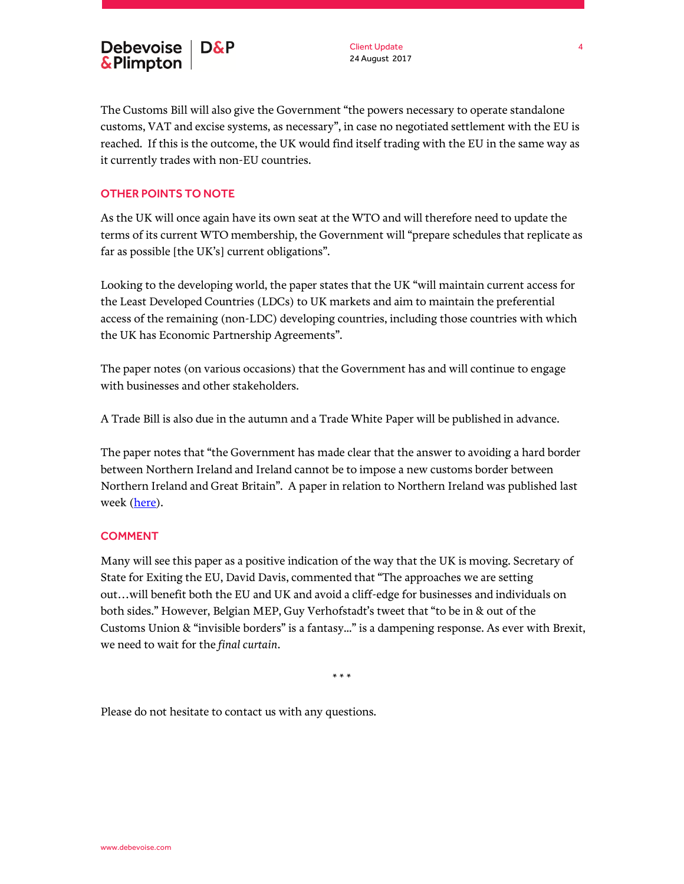

The Customs Bill will also give the Government "the powers necessary to operate standalone customs, VAT and excise systems, as necessary", in case no negotiated settlement with the EU is reached. If this is the outcome, the UK would find itself trading with the EU in the same way as it currently trades with non-EU countries.

# OTHER POINTS TO NOTE

As the UK will once again have its own seat at the WTO and will therefore need to update the terms of its current WTO membership, the Government will "prepare schedules that replicate as far as possible [the UK's] current obligations".

Looking to the developing world, the paper states that the UK "will maintain current access for the Least Developed Countries (LDCs) to UK markets and aim to maintain the preferential access of the remaining (non-LDC) developing countries, including those countries with which the UK has Economic Partnership Agreements".

The paper notes (on various occasions) that the Government has and will continue to engage with businesses and other stakeholders.

A Trade Bill is also due in the autumn and a Trade White Paper will be published in advance.

The paper notes that "the Government has made clear that the answer to avoiding a hard border between Northern Ireland and Ireland cannot be to impose a new customs border between Northern Ireland and Great Britain". A paper in relation to Northern Ireland was published last week [\(here\)](https://www.gov.uk/government/publications/northern-ireland-and-ireland-a-position-paper).

## COMMENT

Many will see this paper as a positive indication of the way that the UK is moving. Secretary of State for Exiting the EU, David Davis, commented that "The approaches we are setting out…will benefit both the EU and UK and avoid a cliff-edge for businesses and individuals on both sides." However, Belgian MEP, Guy Verhofstadt's tweet that "to be in & out of the Customs Union & "invisible borders" is a fantasy..." is a dampening response. As ever with Brexit, we need to wait for the *final curtain*.

\* \* \*

Please do not hesitate to contact us with any questions.